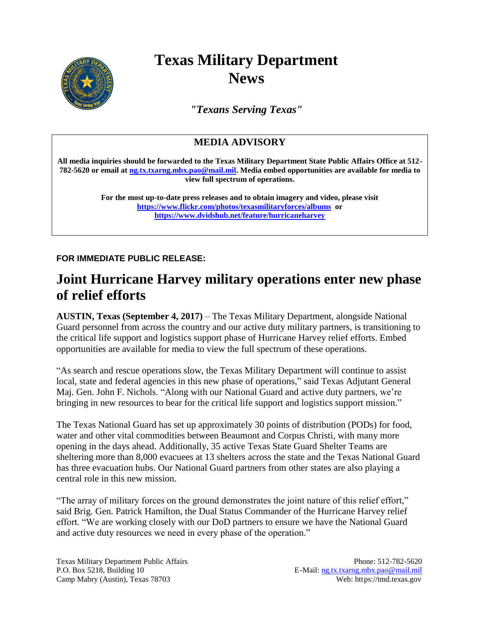

## **Texas Military Department News**

*"Texans Serving Texas"*

## **MEDIA ADVISORY**

**All media inquiries should be forwarded to the Texas Military Department State Public Affairs Office at 512- 782-5620 or email at [ng.tx.txarng.mbx.pao@mail.mil.](mailto:ng.tx.txarng.mbx.pao@mail.mil) Media embed opportunities are available for media to view full spectrum of operations.**

> **For the most up-to-date press releases and to obtain imagery and video, please visit <https://www.flickr.com/photos/texasmilitaryforces/albums>or <https://www.dvidshub.net/feature/hurricaneharvey>**

**FOR IMMEDIATE PUBLIC RELEASE:**

## **Joint Hurricane Harvey military operations enter new phase of relief efforts**

**AUSTIN, Texas (September 4, 2017)** – The Texas Military Department, alongside National Guard personnel from across the country and our active duty military partners, is transitioning to the critical life support and logistics support phase of Hurricane Harvey relief efforts. Embed opportunities are available for media to view the full spectrum of these operations.

"As search and rescue operations slow, the Texas Military Department will continue to assist local, state and federal agencies in this new phase of operations," said Texas Adjutant General Maj. Gen. John F. Nichols. "Along with our National Guard and active duty partners, we're bringing in new resources to bear for the critical life support and logistics support mission."

The Texas National Guard has set up approximately 30 points of distribution (PODs) for food, water and other vital commodities between Beaumont and Corpus Christi, with many more opening in the days ahead. Additionally, 35 active Texas State Guard Shelter Teams are sheltering more than 8,000 evacuees at 13 shelters across the state and the Texas National Guard has three evacuation hubs. Our National Guard partners from other states are also playing a central role in this new mission.

"The array of military forces on the ground demonstrates the joint nature of this relief effort," said Brig. Gen. Patrick Hamilton, the Dual Status Commander of the Hurricane Harvey relief effort. "We are working closely with our DoD partners to ensure we have the National Guard and active duty resources we need in every phase of the operation."